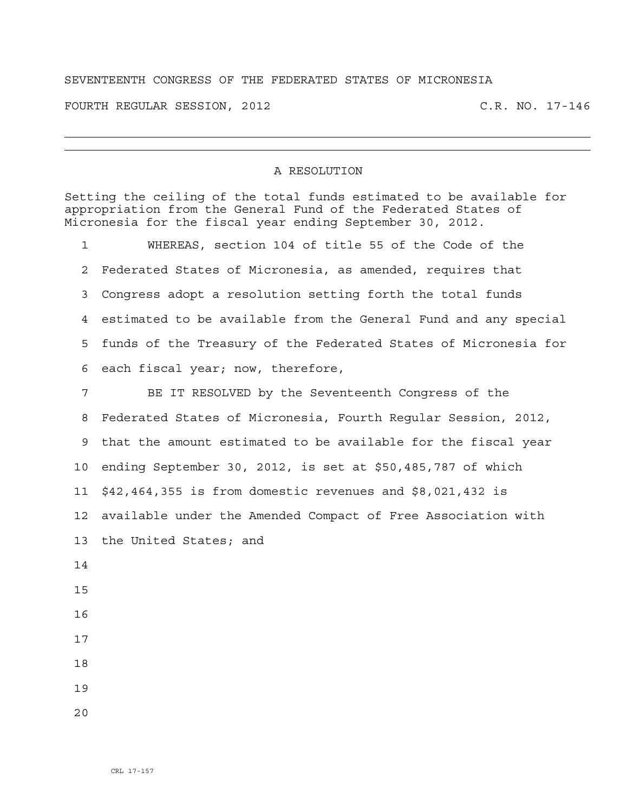## SEVENTEENTH CONGRESS OF THE FEDERATED STATES OF MICRONESIA

FOURTH REGULAR SESSION, 2012 C.R. NO. 17-146

## A RESOLUTION

Setting the ceiling of the total funds estimated to be available for appropriation from the General Fund of the Federated States of Micronesia for the fiscal year ending September 30, 2012.

1 WHEREAS, section 104 of title 55 of the Code of the 2 Federated States of Micronesia, as amended, requires that 3 Congress adopt a resolution setting forth the total funds 4 estimated to be available from the General Fund and any special 5 funds of the Treasury of the Federated States of Micronesia for 6 each fiscal year; now, therefore,

7 BE IT RESOLVED by the Seventeenth Congress of the 8 Federated States of Micronesia, Fourth Regular Session, 2012, 9 that the amount estimated to be available for the fiscal year 10 ending September 30, 2012, is set at \$50,485,787 of which 11 \$42,464,355 is from domestic revenues and \$8,021,432 is 12 available under the Amended Compact of Free Association with 13 the United States; and 14 15 16 17

- 18
- 19
- $2.0$